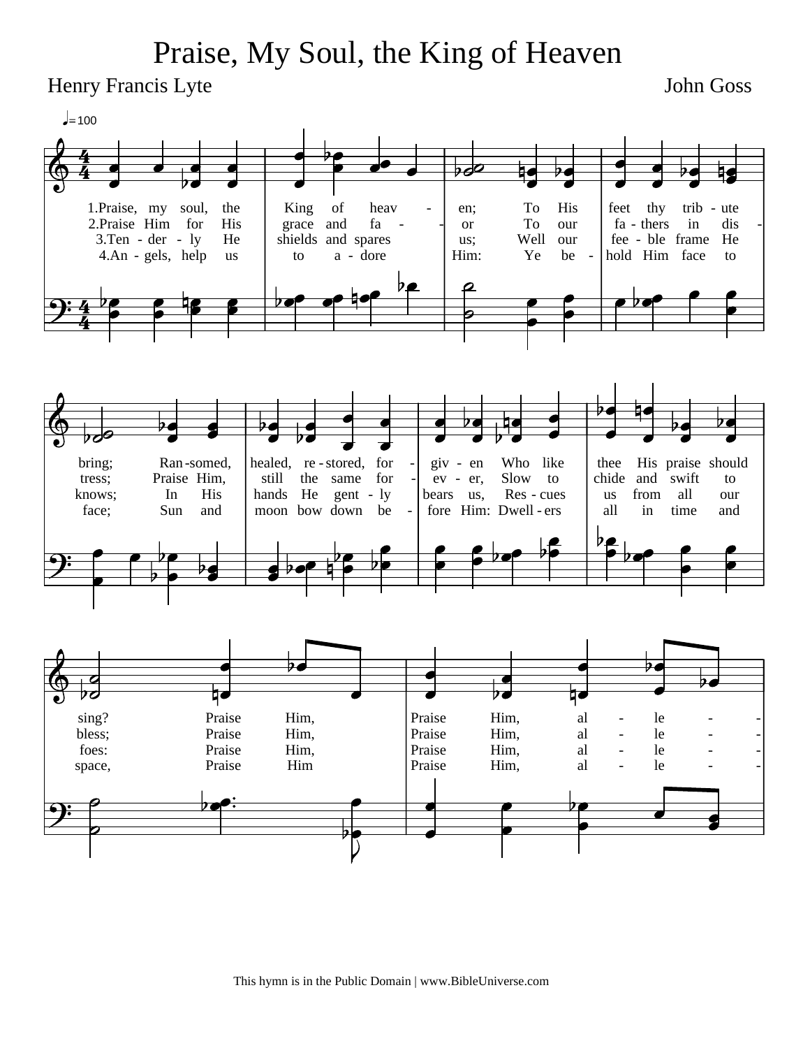## Praise, My Soul, the King of Heaven

Henry Francis Lyte

John Goss